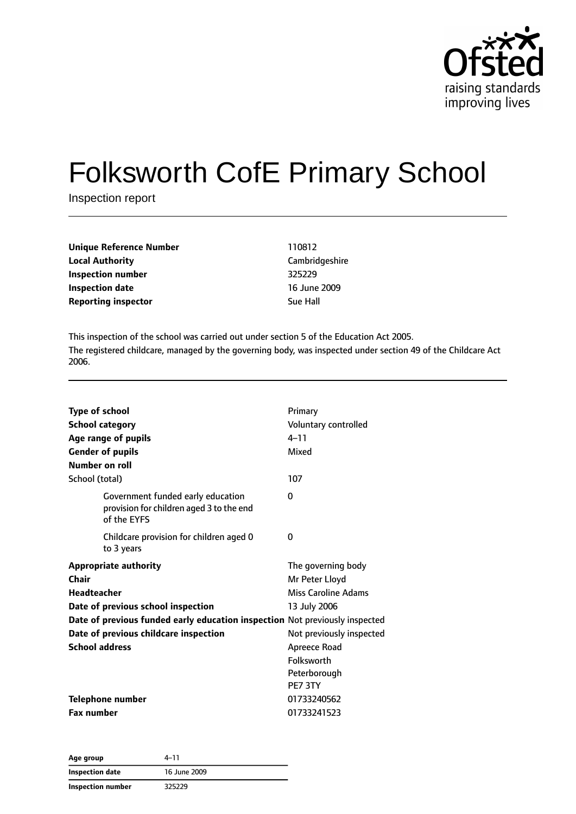

# Folksworth CofE Primary School

Inspection report

| Unique Reference Number    | 110812         |
|----------------------------|----------------|
| Local Authority            | Cambridgeshire |
| Inspection number          | 325229         |
| Inspection date            | 16 June 2009   |
| <b>Reporting inspector</b> | Sue Hall       |
|                            |                |

This inspection of the school was carried out under section 5 of the Education Act 2005. The registered childcare, managed by the governing body, was inspected under section 49 of the Childcare Act 2006.

| <b>Type of school</b><br><b>School category</b><br>Age range of pupils<br><b>Gender of pupils</b>                                                                                                                                                  | Primary<br>Voluntary controlled<br>$4 - 11$<br>Mixed                                                                                                                           |
|----------------------------------------------------------------------------------------------------------------------------------------------------------------------------------------------------------------------------------------------------|--------------------------------------------------------------------------------------------------------------------------------------------------------------------------------|
| Number on roll<br>School (total)                                                                                                                                                                                                                   | 107                                                                                                                                                                            |
| Government funded early education<br>provision for children aged 3 to the end<br>of the EYFS                                                                                                                                                       | $\Omega$                                                                                                                                                                       |
| Childcare provision for children aged 0<br>to 3 years                                                                                                                                                                                              | 0                                                                                                                                                                              |
| <b>Appropriate authority</b><br>Chair<br><b>Headteacher</b><br>Date of previous school inspection<br>Date of previous funded early education inspection Not previously inspected<br>Date of previous childcare inspection<br><b>School address</b> | The governing body<br>Mr Peter Lloyd<br><b>Miss Caroline Adams</b><br>13 July 2006<br>Not previously inspected<br>Apreece Road<br><b>Folksworth</b><br>Peterborough<br>PF7 3TY |
| <b>Telephone number</b><br><b>Fax number</b>                                                                                                                                                                                                       | 01733240562<br>01733241523                                                                                                                                                     |

| Age group         | $4 - 11$     |
|-------------------|--------------|
| Inspection date   | 16 June 2009 |
| Inspection number | 325229       |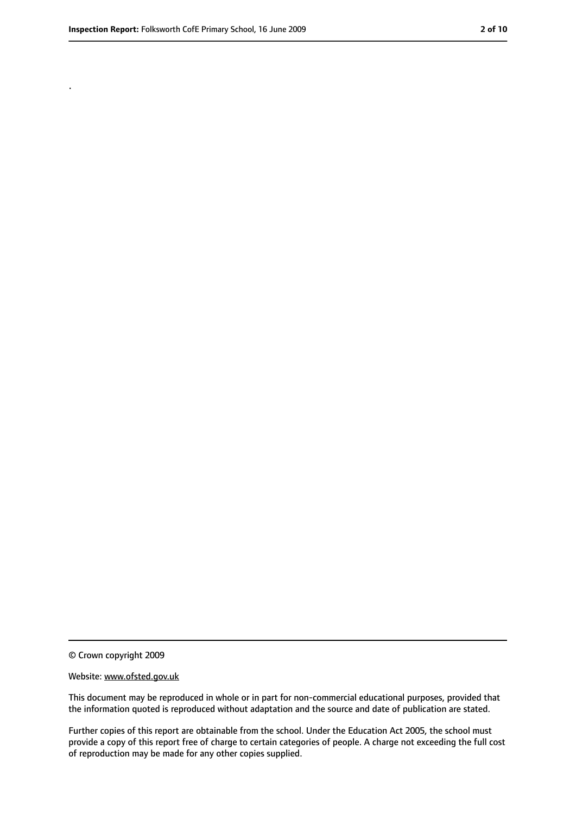.

<sup>©</sup> Crown copyright 2009

Website: www.ofsted.gov.uk

This document may be reproduced in whole or in part for non-commercial educational purposes, provided that the information quoted is reproduced without adaptation and the source and date of publication are stated.

Further copies of this report are obtainable from the school. Under the Education Act 2005, the school must provide a copy of this report free of charge to certain categories of people. A charge not exceeding the full cost of reproduction may be made for any other copies supplied.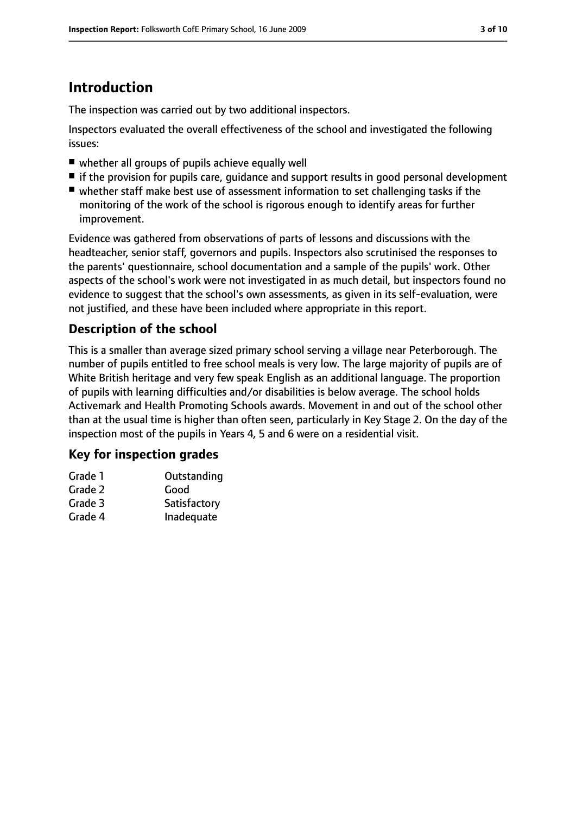# **Introduction**

The inspection was carried out by two additional inspectors.

Inspectors evaluated the overall effectiveness of the school and investigated the following issues:

- whether all groups of pupils achieve equally well
- if the provision for pupils care, quidance and support results in good personal development
- whether staff make best use of assessment information to set challenging tasks if the monitoring of the work of the school is rigorous enough to identify areas for further improvement.

Evidence was gathered from observations of parts of lessons and discussions with the headteacher, senior staff, governors and pupils. Inspectors also scrutinised the responses to the parents' questionnaire, school documentation and a sample of the pupils' work. Other aspects of the school's work were not investigated in as much detail, but inspectors found no evidence to suggest that the school's own assessments, as given in its self-evaluation, were not justified, and these have been included where appropriate in this report.

### **Description of the school**

This is a smaller than average sized primary school serving a village near Peterborough. The number of pupils entitled to free school meals is very low. The large majority of pupils are of White British heritage and very few speak English as an additional language. The proportion of pupils with learning difficulties and/or disabilities is below average. The school holds Activemark and Health Promoting Schools awards. Movement in and out of the school other than at the usual time is higher than often seen, particularly in Key Stage 2. On the day of the inspection most of the pupils in Years 4, 5 and 6 were on a residential visit.

#### **Key for inspection grades**

| Grade 1 | Outstanding  |
|---------|--------------|
| Grade 2 | Good         |
| Grade 3 | Satisfactory |
| Grade 4 | Inadequate   |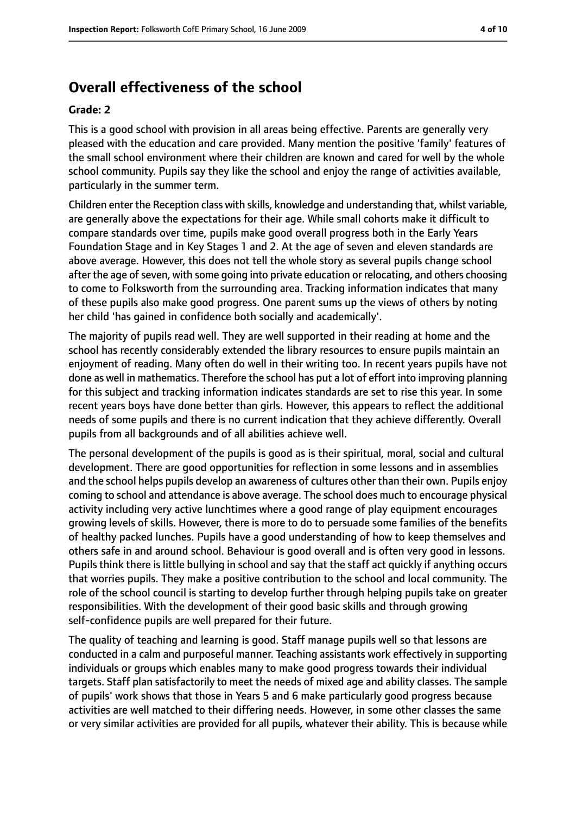## **Overall effectiveness of the school**

#### **Grade: 2**

This is a good school with provision in all areas being effective. Parents are generally very pleased with the education and care provided. Many mention the positive 'family' features of the small school environment where their children are known and cared for well by the whole school community. Pupils say they like the school and enjoy the range of activities available, particularly in the summer term.

Children enter the Reception class with skills, knowledge and understanding that, whilst variable, are generally above the expectations for their age. While small cohorts make it difficult to compare standards over time, pupils make good overall progress both in the Early Years Foundation Stage and in Key Stages 1 and 2. At the age of seven and eleven standards are above average. However, this does not tell the whole story as several pupils change school after the age of seven, with some going into private education or relocating, and others choosing to come to Folksworth from the surrounding area. Tracking information indicates that many of these pupils also make good progress. One parent sums up the views of others by noting her child 'has gained in confidence both socially and academically'.

The majority of pupils read well. They are well supported in their reading at home and the school has recently considerably extended the library resources to ensure pupils maintain an enjoyment of reading. Many often do well in their writing too. In recent years pupils have not done as well in mathematics. Therefore the school has put a lot of effort into improving planning for this subject and tracking information indicates standards are set to rise this year. In some recent years boys have done better than girls. However, this appears to reflect the additional needs of some pupils and there is no current indication that they achieve differently. Overall pupils from all backgrounds and of all abilities achieve well.

The personal development of the pupils is good as is their spiritual, moral, social and cultural development. There are good opportunities for reflection in some lessons and in assemblies and the school helps pupils develop an awareness of cultures other than their own. Pupils enjoy coming to school and attendance is above average. The school does much to encourage physical activity including very active lunchtimes where a good range of play equipment encourages growing levels of skills. However, there is more to do to persuade some families of the benefits of healthy packed lunches. Pupils have a good understanding of how to keep themselves and others safe in and around school. Behaviour is good overall and is often very good in lessons. Pupils think there is little bullying in school and say that the staff act quickly if anything occurs that worries pupils. They make a positive contribution to the school and local community. The role of the school council is starting to develop further through helping pupils take on greater responsibilities. With the development of their good basic skills and through growing self-confidence pupils are well prepared for their future.

The quality of teaching and learning is good. Staff manage pupils well so that lessons are conducted in a calm and purposeful manner. Teaching assistants work effectively in supporting individuals or groups which enables many to make good progress towards their individual targets. Staff plan satisfactorily to meet the needs of mixed age and ability classes. The sample of pupils' work shows that those in Years 5 and 6 make particularly good progress because activities are well matched to their differing needs. However, in some other classes the same or very similar activities are provided for all pupils, whatever their ability. This is because while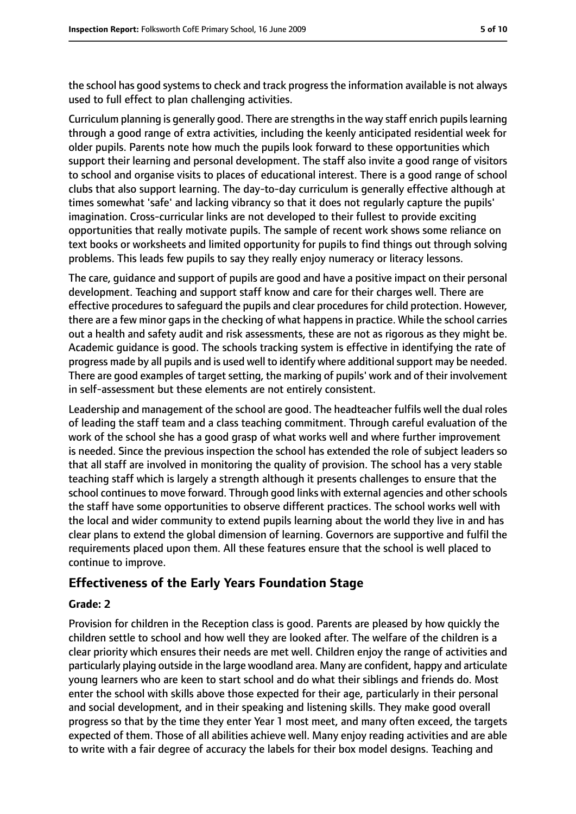the school has good systems to check and track progress the information available is not always used to full effect to plan challenging activities.

Curriculum planning is generally good. There are strengths in the way staff enrich pupils learning through a good range of extra activities, including the keenly anticipated residential week for older pupils. Parents note how much the pupils look forward to these opportunities which support their learning and personal development. The staff also invite a good range of visitors to school and organise visits to places of educational interest. There is a good range of school clubs that also support learning. The day-to-day curriculum is generally effective although at times somewhat 'safe' and lacking vibrancy so that it does not regularly capture the pupils' imagination. Cross-curricular links are not developed to their fullest to provide exciting opportunities that really motivate pupils. The sample of recent work shows some reliance on text books or worksheets and limited opportunity for pupils to find things out through solving problems. This leads few pupils to say they really enjoy numeracy or literacy lessons.

The care, guidance and support of pupils are good and have a positive impact on their personal development. Teaching and support staff know and care for their charges well. There are effective procedures to safeguard the pupils and clear procedures for child protection. However, there are a few minor gaps in the checking of what happens in practice. While the school carries out a health and safety audit and risk assessments, these are not as rigorous as they might be. Academic guidance is good. The schools tracking system is effective in identifying the rate of progress made by all pupils and is used well to identify where additional support may be needed. There are good examples of target setting, the marking of pupils' work and of their involvement in self-assessment but these elements are not entirely consistent.

Leadership and management of the school are good. The headteacher fulfils well the dual roles of leading the staff team and a class teaching commitment. Through careful evaluation of the work of the school she has a good grasp of what works well and where further improvement is needed. Since the previous inspection the school has extended the role of subject leaders so that all staff are involved in monitoring the quality of provision. The school has a very stable teaching staff which is largely a strength although it presents challenges to ensure that the school continues to move forward. Through good links with external agencies and other schools the staff have some opportunities to observe different practices. The school works well with the local and wider community to extend pupils learning about the world they live in and has clear plans to extend the global dimension of learning. Governors are supportive and fulfil the requirements placed upon them. All these features ensure that the school is well placed to continue to improve.

#### **Effectiveness of the Early Years Foundation Stage**

#### **Grade: 2**

Provision for children in the Reception class is good. Parents are pleased by how quickly the children settle to school and how well they are looked after. The welfare of the children is a clear priority which ensures their needs are met well. Children enjoy the range of activities and particularly playing outside in the large woodland area. Many are confident, happy and articulate young learners who are keen to start school and do what their siblings and friends do. Most enter the school with skills above those expected for their age, particularly in their personal and social development, and in their speaking and listening skills. They make good overall progress so that by the time they enter Year 1 most meet, and many often exceed, the targets expected of them. Those of all abilities achieve well. Many enjoy reading activities and are able to write with a fair degree of accuracy the labels for their box model designs. Teaching and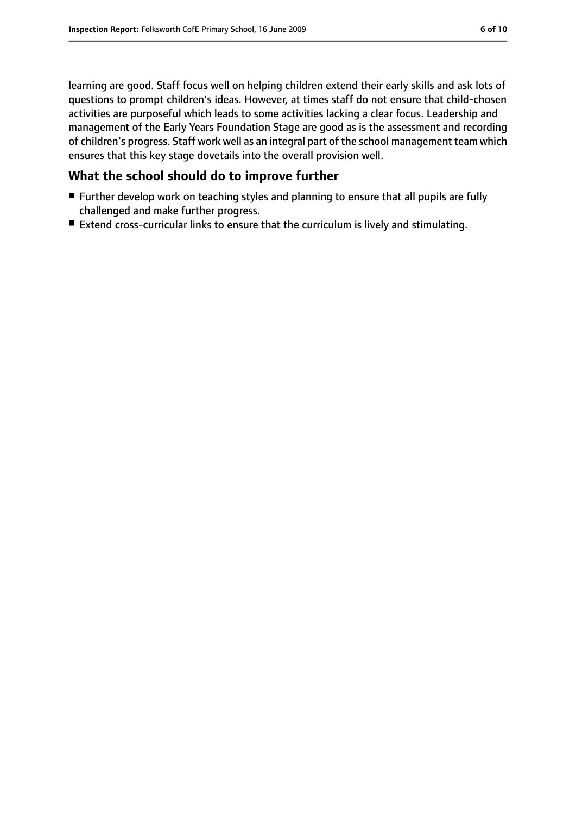learning are good. Staff focus well on helping children extend their early skills and ask lots of questions to prompt children's ideas. However, at times staff do not ensure that child-chosen activities are purposeful which leads to some activities lacking a clear focus. Leadership and management of the Early Years Foundation Stage are good as is the assessment and recording of children's progress. Staff work well as an integral part of the school management team which ensures that this key stage dovetails into the overall provision well.

#### **What the school should do to improve further**

- Further develop work on teaching styles and planning to ensure that all pupils are fully challenged and make further progress.
- Extend cross-curricular links to ensure that the curriculum is lively and stimulating.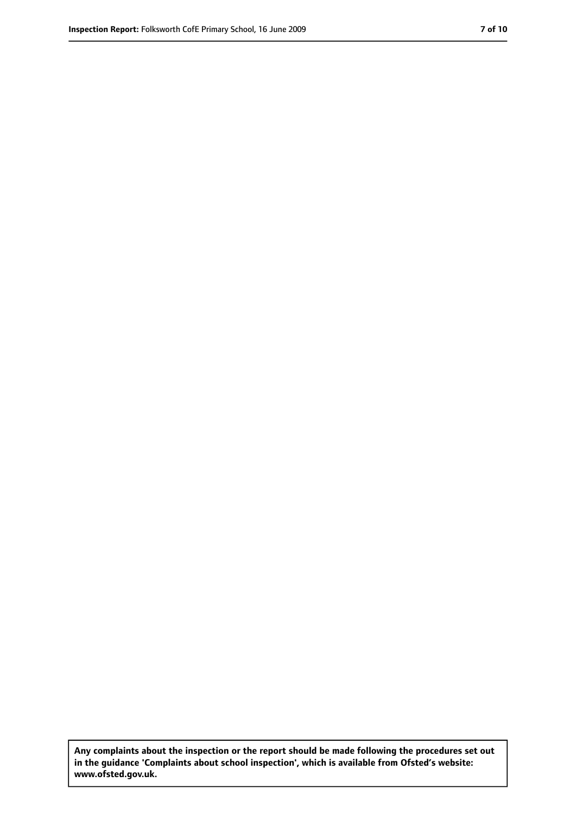**Any complaints about the inspection or the report should be made following the procedures set out in the guidance 'Complaints about school inspection', which is available from Ofsted's website: www.ofsted.gov.uk.**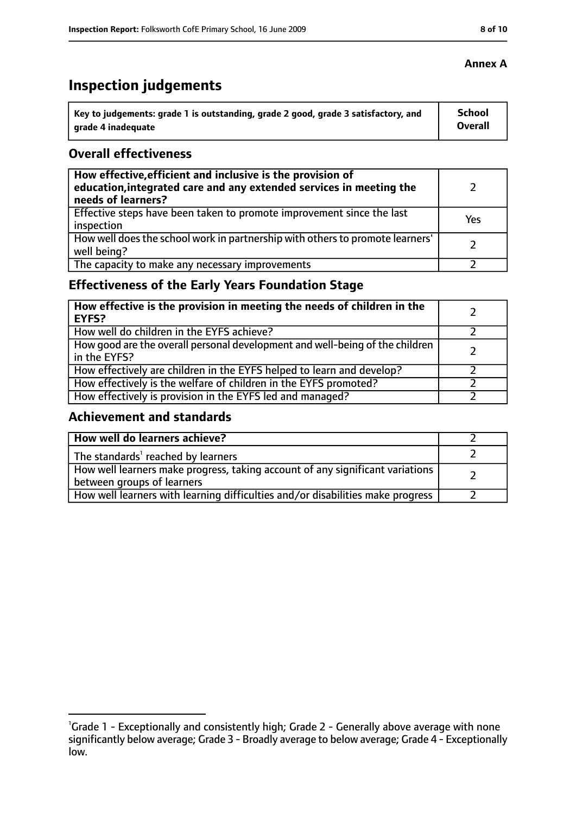# **Inspection judgements**

| Key to judgements: grade 1 is outstanding, grade 2 good, grade 3 satisfactory, and | <b>School</b>  |
|------------------------------------------------------------------------------------|----------------|
| arade 4 inadequate                                                                 | <b>Overall</b> |

#### **Overall effectiveness**

| How effective, efficient and inclusive is the provision of<br>education, integrated care and any extended services in meeting the<br>needs of learners? |     |
|---------------------------------------------------------------------------------------------------------------------------------------------------------|-----|
| Effective steps have been taken to promote improvement since the last<br>inspection                                                                     | Yes |
| How well does the school work in partnership with others to promote learners'<br>well being?                                                            |     |
| The capacity to make any necessary improvements                                                                                                         |     |

### **Effectiveness of the Early Years Foundation Stage**

| How effective is the provision in meeting the needs of children in the<br><b>EYFS?</b>       |  |
|----------------------------------------------------------------------------------------------|--|
| How well do children in the EYFS achieve?                                                    |  |
| How good are the overall personal development and well-being of the children<br>in the EYFS? |  |
| How effectively are children in the EYFS helped to learn and develop?                        |  |
| How effectively is the welfare of children in the EYFS promoted?                             |  |
| How effectively is provision in the EYFS led and managed?                                    |  |

#### **Achievement and standards**

| How well do learners achieve?                                                                               |  |
|-------------------------------------------------------------------------------------------------------------|--|
| The standards <sup>1</sup> reached by learners                                                              |  |
| How well learners make progress, taking account of any significant variations<br>between groups of learners |  |
| How well learners with learning difficulties and/or disabilities make progress                              |  |

#### **Annex A**

<sup>&</sup>lt;sup>1</sup>Grade 1 - Exceptionally and consistently high; Grade 2 - Generally above average with none significantly below average; Grade 3 - Broadly average to below average; Grade 4 - Exceptionally low.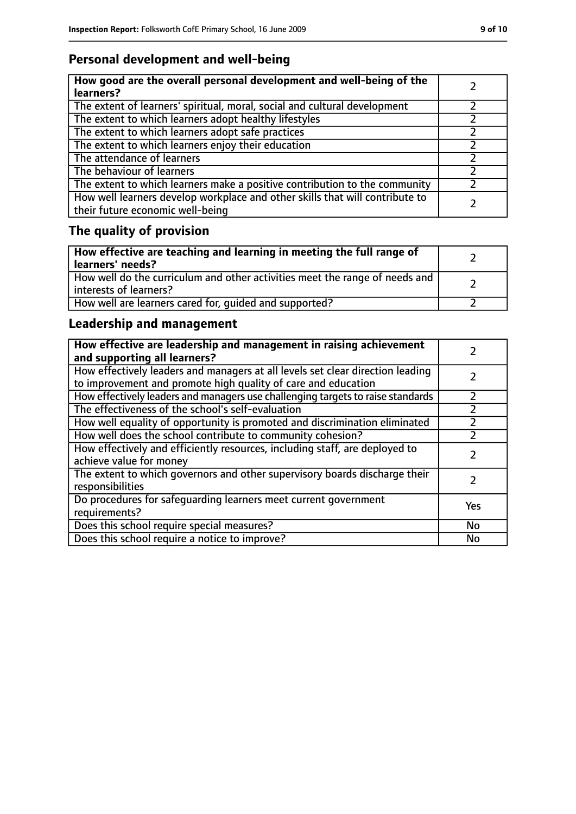### **Personal development and well-being**

| How good are the overall personal development and well-being of the<br>learners?                                 |  |
|------------------------------------------------------------------------------------------------------------------|--|
| The extent of learners' spiritual, moral, social and cultural development                                        |  |
| The extent to which learners adopt healthy lifestyles                                                            |  |
| The extent to which learners adopt safe practices                                                                |  |
| The extent to which learners enjoy their education                                                               |  |
| The attendance of learners                                                                                       |  |
| The behaviour of learners                                                                                        |  |
| The extent to which learners make a positive contribution to the community                                       |  |
| How well learners develop workplace and other skills that will contribute to<br>their future economic well-being |  |

# **The quality of provision**

| How effective are teaching and learning in meeting the full range of<br>learners' needs?              |  |
|-------------------------------------------------------------------------------------------------------|--|
| How well do the curriculum and other activities meet the range of needs and<br>interests of learners? |  |
| How well are learners cared for, quided and supported?                                                |  |

### **Leadership and management**

| How effective are leadership and management in raising achievement<br>and supporting all learners?                                              |           |
|-------------------------------------------------------------------------------------------------------------------------------------------------|-----------|
| How effectively leaders and managers at all levels set clear direction leading<br>to improvement and promote high quality of care and education |           |
| How effectively leaders and managers use challenging targets to raise standards                                                                 |           |
| The effectiveness of the school's self-evaluation                                                                                               |           |
| How well equality of opportunity is promoted and discrimination eliminated                                                                      |           |
| How well does the school contribute to community cohesion?                                                                                      |           |
| How effectively and efficiently resources, including staff, are deployed to<br>achieve value for money                                          |           |
| The extent to which governors and other supervisory boards discharge their<br>responsibilities                                                  |           |
| Do procedures for safequarding learners meet current government<br>requirements?                                                                | Yes       |
| Does this school require special measures?                                                                                                      | No        |
| Does this school require a notice to improve?                                                                                                   | <b>No</b> |